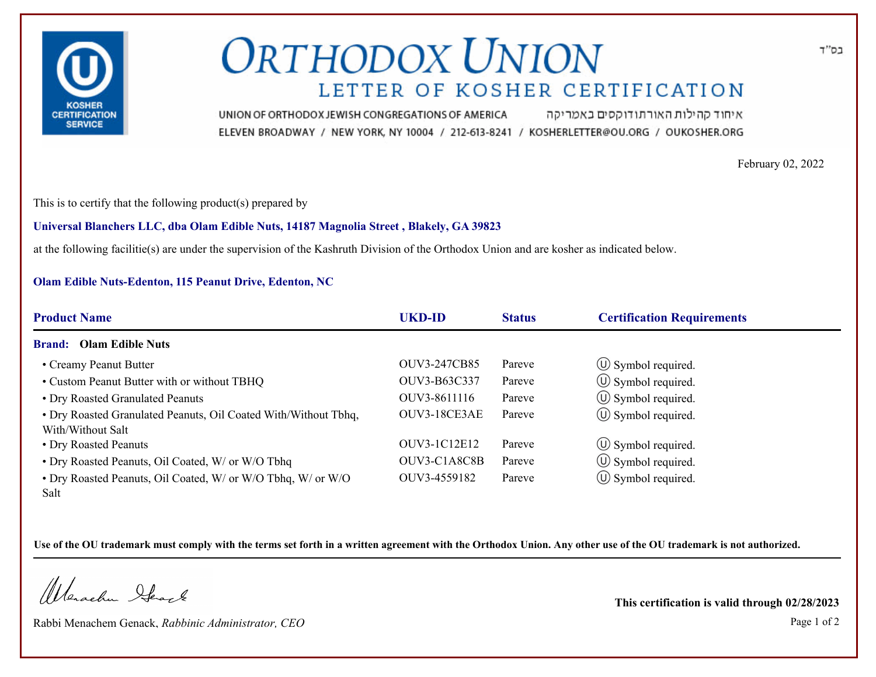

# **ORTHODOX UNION** LETTER OF KOSHER CERTIFICATION

איחוד קהילות האורתודוקסים באמריקה UNION OF ORTHODOX JEWISH CONGREGATIONS OF AMERICA ELEVEN BROADWAY / NEW YORK, NY 10004 / 212-613-8241 / KOSHERLETTER@OU.ORG / OUKOSHER.ORG

February 02, 2022

בס"ד

This is to certify that the following product(s) prepared by

### **Universal Blanchers LLC, dba Olam Edible Nuts, 14187 Magnolia Street , Blakely, GA 39823**

at the following facilitie(s) are under the supervision of the Kashruth Division of the Orthodox Union and are kosher as indicated below.

## **Olam Edible Nuts-Edenton, 115 Peanut Drive, Edenton, NC**

| <b>Product Name</b>                                                                  | <b>UKD-ID</b>       | <b>Status</b> | <b>Certification Requirements</b> |
|--------------------------------------------------------------------------------------|---------------------|---------------|-----------------------------------|
| <b>Brand:</b> Olam Edible Nuts                                                       |                     |               |                                   |
| • Creamy Peanut Butter                                                               | <b>OUV3-247CB85</b> | Pareve        | $\circled{1}$ Symbol required.    |
| • Custom Peanut Butter with or without TBHQ                                          | OUV3-B63C337        | Pareve        | $\circled{1}$ Symbol required.    |
| • Dry Roasted Granulated Peanuts                                                     | OUV3-8611116        | Pareve        | $\circled{1}$ Symbol required.    |
| • Dry Roasted Granulated Peanuts, Oil Coated With/Without Tbhq,<br>With/Without Salt | OUV3-18CE3AE        | Pareve        | $\circ$ Symbol required.          |
| • Dry Roasted Peanuts                                                                | OUV3-1C12E12        | Pareve        | $\circ$ Symbol required.          |
| • Dry Roasted Peanuts, Oil Coated, W/ or W/O Tbhq                                    | OUV3-C1A8C8B        | Pareve        | $\circled{1}$ Symbol required.    |
| • Dry Roasted Peanuts, Oil Coated, W/ or W/O Tbhq, W/ or W/O<br><b>Salt</b>          | OUV3-4559182        | Pareve        | $\circ$ Symbol required.          |

**Use of the OU trademark must comply with the terms set forth in a written agreement with the Orthodox Union. Any other use of the OU trademark is not authorized.**

Werschn Heart

Rabbi Menachem Genack, *Rabbinic Administrator, CEO* Page 1 of 2

**This certification is valid through 02/28/2023**